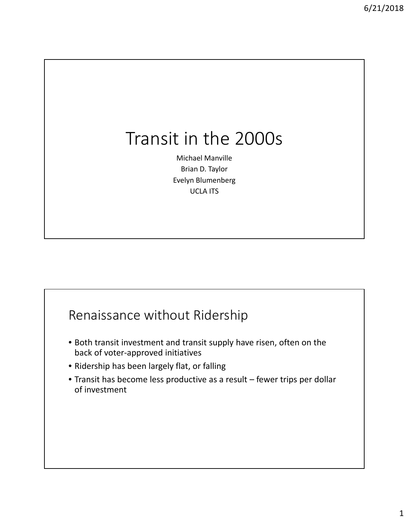## Transit in the 2000s

Michael Manville Brian D. Taylor Evelyn Blumenberg UCLA ITS

#### Renaissance without Ridership

- Both transit investment and transit supply have risen, often on the back of voter‐approved initiatives
- Ridership has been largely flat, or falling
- Transit has become less productive as a result fewer trips per dollar of investment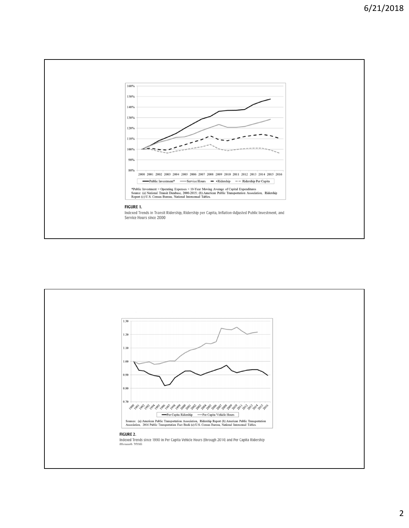

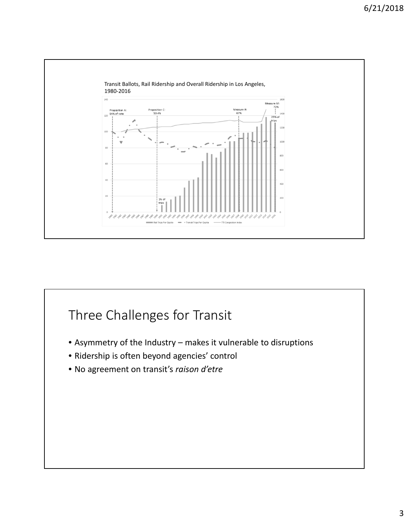

### Three Challenges for Transit

- Asymmetry of the Industry makes it vulnerable to disruptions
- Ridership is often beyond agencies' control
- No agreement on transit's *raison d'etre*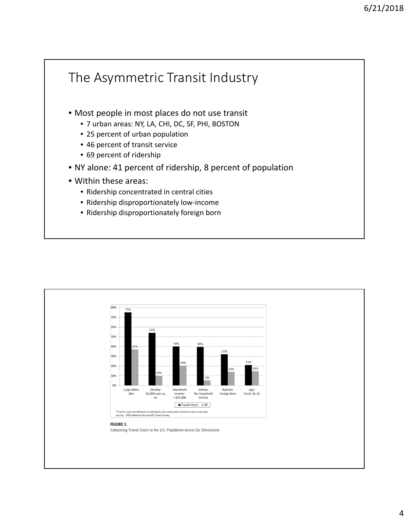

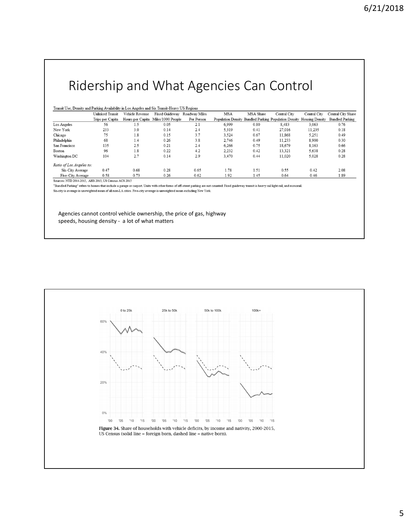#### Ridership and What Agencies Can Control

| Transit Use, Density and Parking Availability in Los Angeles and Six Transit-Heavy US Regions |  |
|-----------------------------------------------------------------------------------------------|--|
|-----------------------------------------------------------------------------------------------|--|

|                          | Unlinked Transit | Vehicle Revenue | Fixed Guideway                     | Roadway Miles | <b>MSA</b> | MSA Share | Central City                                          | Central City    | Central City Share     |
|--------------------------|------------------|-----------------|------------------------------------|---------------|------------|-----------|-------------------------------------------------------|-----------------|------------------------|
|                          | Trips per Capita |                 | Hours per Capita Miles/1000 People | Per Person    |            |           | Population Density Bundled Parking Population Density | Housing Density | <b>Bundled Parking</b> |
| Los Angeles              | 56               | 1.5             | 0.05                               | 2.1           | 6,999      | 0.80      | 8.483                                                 | 3,063           | 0.76                   |
| New York                 | 233              | 3.0             | 0.14                               | 2.4           | 5,319      | 0.41      | 27,016                                                | 11.235          | 0.18                   |
| Chicago                  | 75               | 1.8             | 0.15                               | 3.7           | 3.524      | 0.67      | 11.868                                                | 5.251           | 0.49                   |
| Philadelphia             | 68               | 1.4             | 0.26                               | 3.8           | 2,746      | 0.49      | 11.233                                                | 8,900           | 0.30                   |
| San Francisco            | 135              | 2.5             | 0.21                               | 2.4           | 6.266      | 0.75      | 18,679                                                | 8.163           | 0.66                   |
| Boston                   | 96               | 1.8             | 0.22                               | 4.2           | 2.232      | 0.42      | 13.321                                                | 5.638           | 0.28                   |
| Washington DC            | 104              | 2.7             | 0.14                               | 2.9           | 3,470      | 0.44      | 11.020                                                | 5,028           | 0.28                   |
| Ratio of Los Angeles to: |                  |                 |                                    |               |            |           |                                                       |                 |                        |
| Six-City Average         | 0.47             | 0.68            | 0.28                               | 0.65          | 1.78       | 1.51      | 0.55                                                  | 0.42            | 2.08                   |
| Five-City Average        | 0.58             | 0.73            | 0.26                               | 0.62          | 1.92       | 1.45      | 0.64                                                  | 0.46            | 1.89                   |

Sources: NTD 2014-2015, AHS 2015, US Census ACS 2015

"Bundled Parking" refers to homes that include a garage or carport. Units with other forms of off-street parking are not counted. Fixed guideway transit is heavy rail light rail, and monorail.  $\rm Six\text{-}city$  is average is unewighted mean of all non-LA cities. Five-city average is unweighted mean excluding New York.

Agencies cannot control vehicle ownership, the price of gas, highway speeds, housing density ‐ a lot of what matters

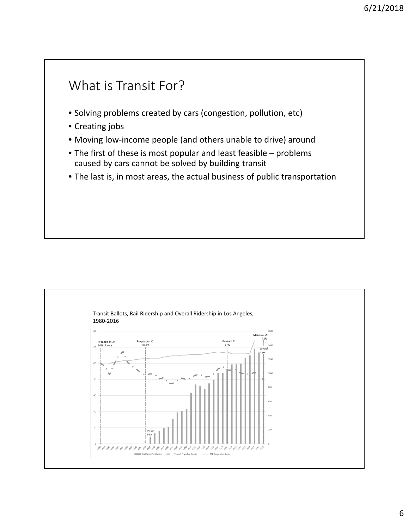# What is Transit For? • Solving problems created by cars (congestion, pollution, etc) • Creating jobs • Moving low‐income people (and others unable to drive) around • The first of these is most popular and least feasible – problems caused by cars cannot be solved by building transit • The last is, in most areas, the actual business of public transportation

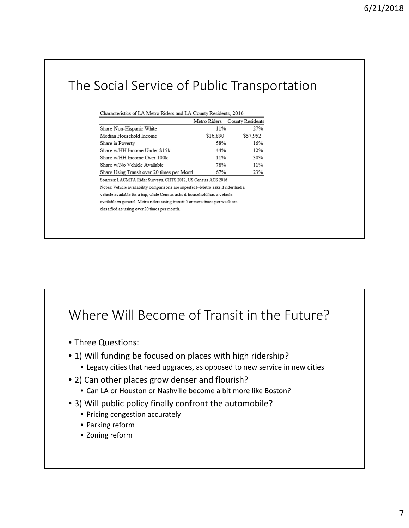## The Social Service of Public Transportation

| Characteristics of LA Metro Riders and LA County Residents, 2016 |  |  |  |  |
|------------------------------------------------------------------|--|--|--|--|
|                                                                  |  |  |  |  |

|                                                                                 | Metro Riders | County Residents |
|---------------------------------------------------------------------------------|--------------|------------------|
| Share Non-Hispanic White                                                        | 11%          | 27%              |
| Median Household Income                                                         | \$16,890     | \$57.952         |
| Share in Poverty                                                                | 58%          | 16%              |
| Share w/HH Income Under \$15k                                                   | 44%          | 12%              |
| Share w/HH Income Over 100k                                                     | 11%          | 30%              |
| Share w/No Vehicle Available                                                    | 78%          | 11%              |
| Share Using Transit over 20 times per Montl                                     | 67%          | 23%              |
| Sources: LACMTA Rider Surveys, CHTS 2012, US Census ACS 2016                    |              |                  |
| Notes: Vehicle availability comparisons are imperfect-Metro asks if rider had a |              |                  |
| vehicle available for a trip, while Census asks if household has a vehicle      |              |                  |
| available in general. Metro riders using transit 5 or more times per week are   |              |                  |
| classified as using over 20 times per month.                                    |              |                  |
|                                                                                 |              |                  |

#### Where Will Become of Transit in the Future?

- Three Questions:
- 1) Will funding be focused on places with high ridership?
	- Legacy cities that need upgrades, as opposed to new service in new cities
- 2) Can other places grow denser and flourish?
	- Can LA or Houston or Nashville become a bit more like Boston?
- 3) Will public policy finally confront the automobile?
	- Pricing congestion accurately
	- Parking reform
	- Zoning reform